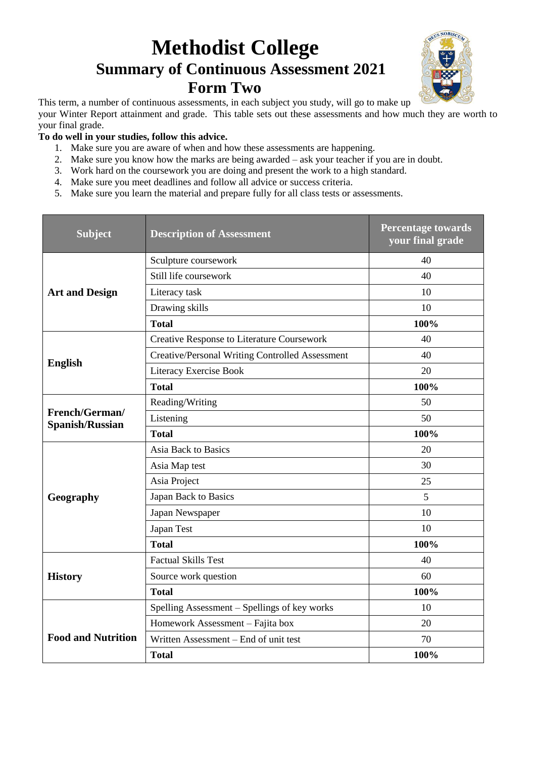## **Methodist College Summary of Continuous Assessment 2021 Form Two**



This term, a number of continuous assessments, in each subject you study, will go to make up

your Winter Report attainment and grade. This table sets out these assessments and how much they are worth to your final grade.

## **To do well in your studies, follow this advice.**

- 1. Make sure you are aware of when and how these assessments are happening.
- 2. Make sure you know how the marks are being awarded ask your teacher if you are in doubt.
- 3. Work hard on the coursework you are doing and present the work to a high standard.
- 4. Make sure you meet deadlines and follow all advice or success criteria.
- 5. Make sure you learn the material and prepare fully for all class tests or assessments.

| <b>Subject</b>                           | <b>Description of Assessment</b>                       | <b>Percentage towards</b><br>your final grade |
|------------------------------------------|--------------------------------------------------------|-----------------------------------------------|
|                                          | Sculpture coursework                                   | 40                                            |
|                                          | Still life coursework                                  | 40                                            |
| <b>Art and Design</b>                    | Literacy task                                          | 10                                            |
|                                          | Drawing skills                                         | 10                                            |
|                                          | <b>Total</b>                                           | 100%                                          |
|                                          | Creative Response to Literature Coursework             | 40                                            |
|                                          | <b>Creative/Personal Writing Controlled Assessment</b> | 40                                            |
| <b>English</b>                           | Literacy Exercise Book                                 | 20                                            |
|                                          | <b>Total</b>                                           | 100%                                          |
|                                          | Reading/Writing                                        | 50                                            |
| French/German/<br><b>Spanish/Russian</b> | Listening                                              | 50                                            |
|                                          | <b>Total</b>                                           | 100%                                          |
|                                          | Asia Back to Basics                                    | 20                                            |
|                                          | Asia Map test                                          | 30                                            |
|                                          | Asia Project                                           | 25                                            |
| Geography                                | Japan Back to Basics                                   | 5                                             |
|                                          | Japan Newspaper                                        | 10                                            |
|                                          | Japan Test                                             | 10                                            |
|                                          | <b>Total</b>                                           | 100%                                          |
|                                          | <b>Factual Skills Test</b>                             | 40                                            |
| <b>History</b>                           | Source work question                                   | 60                                            |
|                                          | <b>Total</b>                                           | 100%                                          |
|                                          | Spelling Assessment - Spellings of key works           | 10                                            |
|                                          | Homework Assessment - Fajita box                       | 20                                            |
| <b>Food and Nutrition</b>                | Written Assessment - End of unit test                  | 70                                            |
|                                          | <b>Total</b>                                           | 100%                                          |